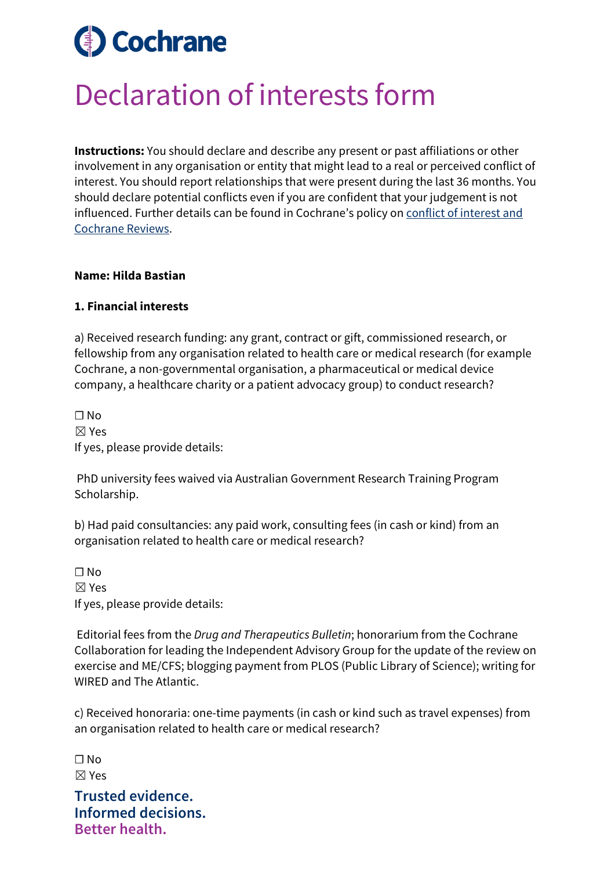# **Cochrane**

# Declaration of interests form

**Instructions:** You should declare and describe any present or past affiliations or other involvement in any organisation or entity that might lead to a real or perceived conflict of interest. You should report relationships that were present during the last 36 months. You should declare potential conflicts even if you are confident that your judgement is not influenced. Further details can be found in Cochrane's policy on [conflict of interest and](https://documentation.cochrane.org/display/EPPR/Policy%3A+conflicts+of+interest+and+Cochrane+Reviews)  [Cochrane Reviews.](https://documentation.cochrane.org/display/EPPR/Policy%3A+conflicts+of+interest+and+Cochrane+Reviews)

## **Name: Hilda Bastian**

#### **1. Financial interests**

a) Received research funding: any grant, contract or gift, commissioned research, or fellowship from any organisation related to health care or medical research (for example Cochrane, a non-governmental organisation, a pharmaceutical or medical device company, a healthcare charity or a patient advocacy group) to conduct research?

 $\Box$  No ☒ Yes If yes, please provide details:

PhD university fees waived via Australian Government Research Training Program Scholarship.

b) Had paid consultancies: any paid work, consulting fees (in cash or kind) from an organisation related to health care or medical research?

 $\Box$  No ☒ Yes If yes, please provide details:

Editorial fees from the *Drug and Therapeutics Bulletin*; honorarium from the Cochrane Collaboration for leading the Independent Advisory Group for the update of the review on exercise and ME/CFS; blogging payment from PLOS (Public Library of Science); writing for WIRED and The Atlantic.

c) Received honoraria: one-time payments (in cash or kind such as travel expenses) from an organisation related to health care or medical research?

 $\Box$  No ☒ Yes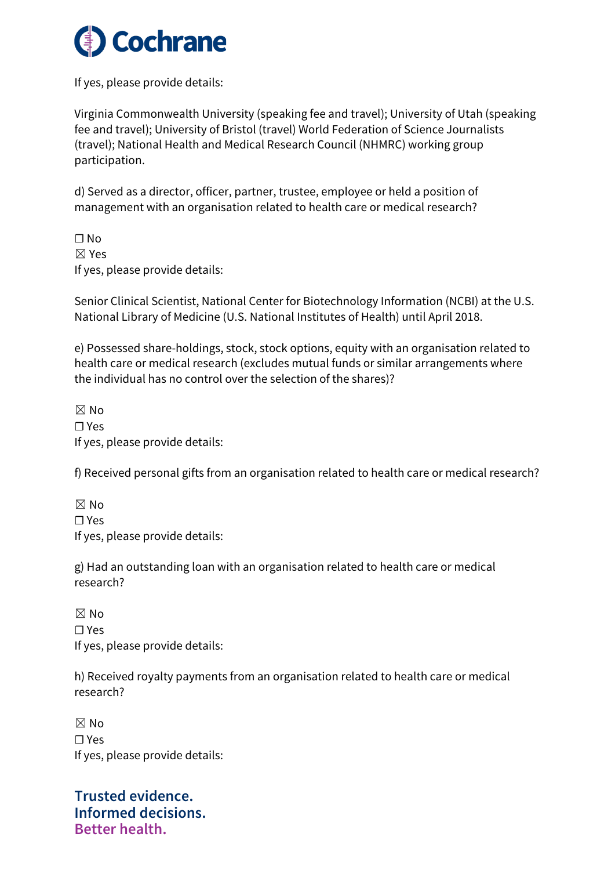

If yes, please provide details:

Virginia Commonwealth University (speaking fee and travel); University of Utah (speaking fee and travel); University of Bristol (travel) World Federation of Science Journalists (travel); National Health and Medical Research Council (NHMRC) working group participation.

d) Served as a director, officer, partner, trustee, employee or held a position of management with an organisation related to health care or medical research?

 $\Box$  No ☒ Yes If yes, please provide details:

Senior Clinical Scientist, National Center for Biotechnology Information (NCBI) at the U.S. National Library of Medicine (U.S. National Institutes of Health) until April 2018.

e) Possessed share-holdings, stock, stock options, equity with an organisation related to health care or medical research (excludes mutual funds or similar arrangements where the individual has no control over the selection of the shares)?

 $\boxtimes$  No ☐ Yes If yes, please provide details:

f) Received personal gifts from an organisation related to health care or medical research?

 $\boxtimes$  No ☐ Yes If yes, please provide details:

g) Had an outstanding loan with an organisation related to health care or medical research?

☒ No ☐ Yes If yes, please provide details:

h) Received royalty payments from an organisation related to health care or medical research?

☒ No ☐ Yes If yes, please provide details: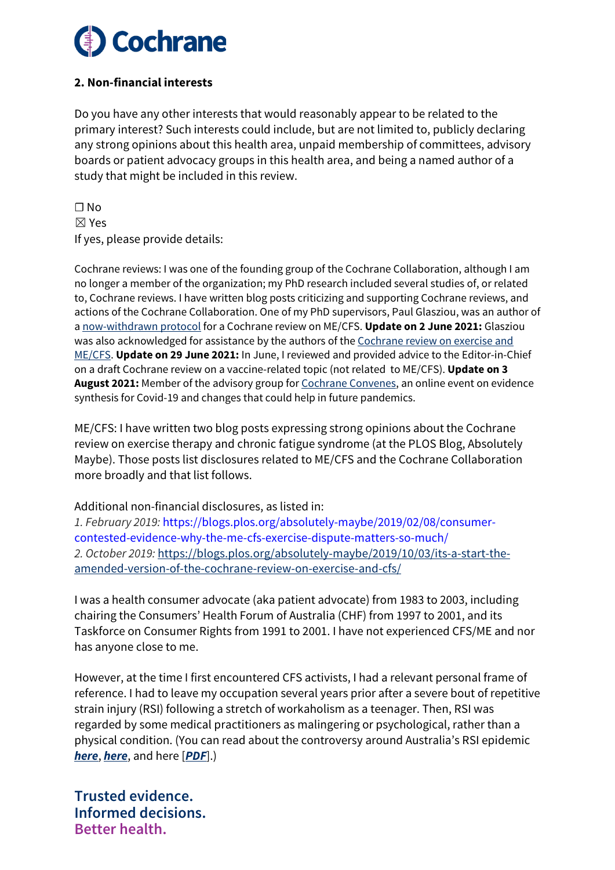

# **2. Non-financial interests**

Do you have any other interests that would reasonably appear to be related to the primary interest? Such interests could include, but are not limited to, publicly declaring any strong opinions about this health area, unpaid membership of committees, advisory boards or patient advocacy groups in this health area, and being a named author of a study that might be included in this review.

☐ No ☒ Yes If yes, please provide details:

Cochrane reviews: I was one of the founding group of the Cochrane Collaboration, although I am no longer a member of the organization; my PhD research included several studies of, or related to, Cochrane reviews. I have written blog posts criticizing and supporting Cochrane reviews, and actions of the Cochrane Collaboration. One of my PhD supervisors, Paul Glasziou, was an author of a [now-withdrawn protocol](https://www.cochranelibrary.com/cdsr/doi/10.1002/14651858.CD011040.pub2/full) for a Cochrane review on ME/CFS. **Update on 2 June 2021:** Glasziou was also acknowledged for assistance by the authors of the Cochrane review on exercise and [ME/CFS.](https://www.cochranelibrary.com/cdsr/doi/10.1002/14651858.CD003200.pub8/full) **Update on 29 June 2021:** In June, I reviewed and provided advice to the Editor-in-Chief on a draft Cochrane review on a vaccine-related topic (not related to ME/CFS). **Update on 3 August 2021:** Member of the advisory group for [Cochrane Convenes,](https://convenes.cochrane.org/) an online event on evidence synthesis for Covid-19 and changes that could help in future pandemics.

ME/CFS: I have written two blog posts expressing strong opinions about the Cochrane review on exercise therapy and chronic fatigue syndrome (at the PLOS Blog, Absolutely Maybe). Those posts list disclosures related to ME/CFS and the Cochrane Collaboration more broadly and that list follows.

## Additional non-financial disclosures, as listed in:

*1. February 2019:* https://blogs.plos.org/absolutely-maybe/2019/02/08/consumercontested-evidence-why-the-me-cfs-exercise-dispute-matters-so-much/ *2. October 2019:* [https://blogs.plos.org/absolutely-maybe/2019/10/03/its-a-start-the](https://blogs.plos.org/absolutely-maybe/2019/10/03/its-a-start-the-amended-version-of-the-cochrane-review-on-exercise-and-cfs/)[amended-version-of-the-cochrane-review-on-exercise-and-cfs/](https://blogs.plos.org/absolutely-maybe/2019/10/03/its-a-start-the-amended-version-of-the-cochrane-review-on-exercise-and-cfs/)

I was a health consumer advocate (aka patient advocate) from 1983 to 2003, including chairing the Consumers' Health Forum of Australia (CHF) from 1997 to 2001, and its Taskforce on Consumer Rights from 1991 to 2001. I have not experienced CFS/ME and nor has anyone close to me.

However, at the time I first encountered CFS activists, I had a relevant personal frame of reference. I had to leave my occupation several years prior after a severe bout of repetitive strain injury (RSI) following a stretch of workaholism as a teenager. Then, RSI was regarded by some medical practitioners as malingering or psychological, rather than a physical condition. (You can read about the controversy around Australia's RSI epidemic *[here](https://link.springer.com/chapter/10.1007/978-1-349-27625-7_9)*, *[here](https://www.sciencedirect.com/science/article/abs/pii/027795369090191T)*, and here [*[PDF](http://citeseerx.ist.psu.edu/viewdoc/download?doi=10.1.1.1013.9945&rep=rep1&type=pdf)*].)